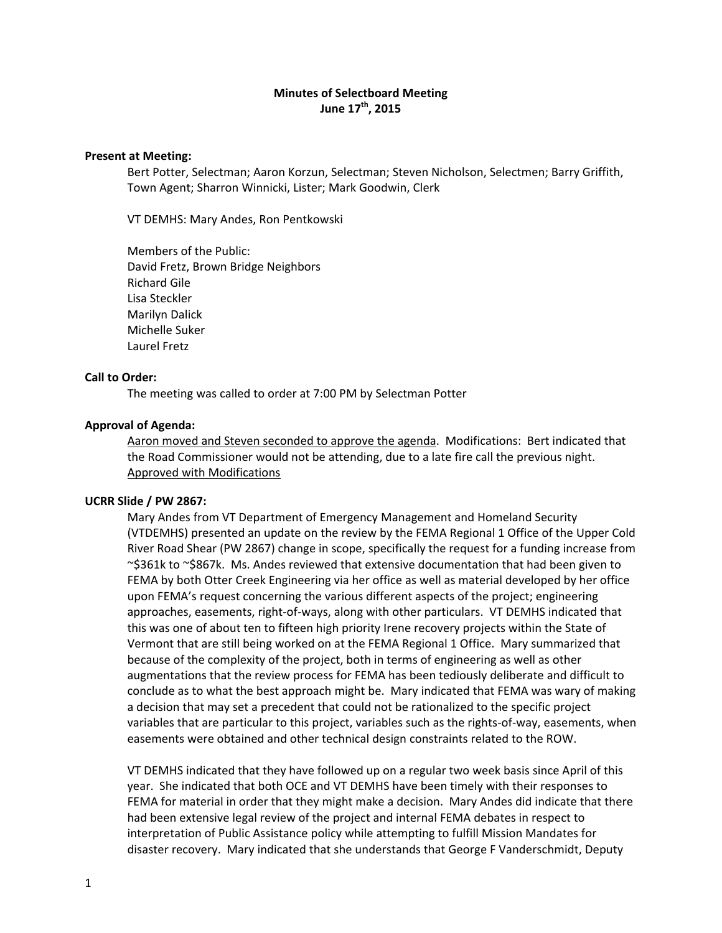# **Minutes of Selectboard Meeting June 17th, 2015**

### **Present at Meeting:**

Bert Potter, Selectman; Aaron Korzun, Selectman; Steven Nicholson, Selectmen; Barry Griffith, Town Agent; Sharron Winnicki, Lister; Mark Goodwin, Clerk

VT DEMHS: Mary Andes, Ron Pentkowski

Members of the Public: David Fretz, Brown Bridge Neighbors Richard Gile Lisa Steckler Marilyn Dalick Michelle Suker Laurel Fretz

#### **Call to Order:**

The meeting was called to order at 7:00 PM by Selectman Potter

#### **Approval of Agenda:**

Aaron moved and Steven seconded to approve the agenda. Modifications: Bert indicated that the Road Commissioner would not be attending, due to a late fire call the previous night. Approved with Modifications

#### **UCRR Slide / PW 2867:**

Mary Andes from VT Department of Emergency Management and Homeland Security (VTDEMHS) presented an update on the review by the FEMA Regional 1 Office of the Upper Cold River Road Shear (PW 2867) change in scope, specifically the request for a funding increase from ~\$361k to ~\$867k. Ms. Andes reviewed that extensive documentation that had been given to FEMA by both Otter Creek Engineering via her office as well as material developed by her office upon FEMA's request concerning the various different aspects of the project; engineering approaches, easements, right‐of‐ways, along with other particulars. VT DEMHS indicated that this was one of about ten to fifteen high priority Irene recovery projects within the State of Vermont that are still being worked on at the FEMA Regional 1 Office. Mary summarized that because of the complexity of the project, both in terms of engineering as well as other augmentations that the review process for FEMA has been tediously deliberate and difficult to conclude as to what the best approach might be. Mary indicated that FEMA was wary of making a decision that may set a precedent that could not be rationalized to the specific project variables that are particular to this project, variables such as the rights-of-way, easements, when easements were obtained and other technical design constraints related to the ROW.

VT DEMHS indicated that they have followed up on a regular two week basis since April of this year. She indicated that both OCE and VT DEMHS have been timely with their responses to FEMA for material in order that they might make a decision. Mary Andes did indicate that there had been extensive legal review of the project and internal FEMA debates in respect to interpretation of Public Assistance policy while attempting to fulfill Mission Mandates for disaster recovery. Mary indicated that she understands that George F Vanderschmidt, Deputy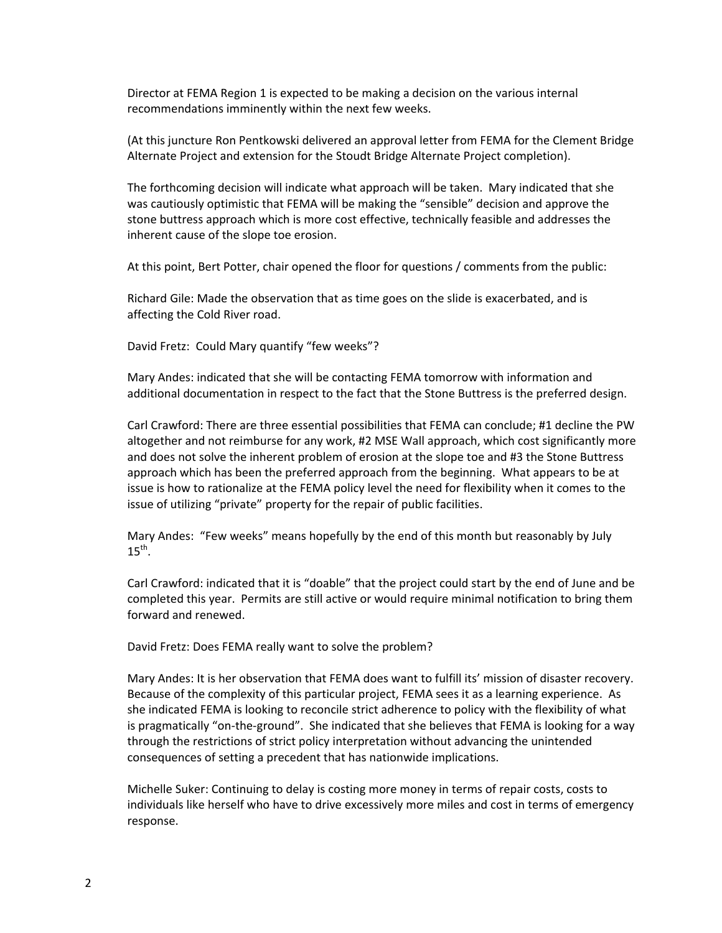Director at FEMA Region 1 is expected to be making a decision on the various internal recommendations imminently within the next few weeks.

(At this juncture Ron Pentkowski delivered an approval letter from FEMA for the Clement Bridge Alternate Project and extension for the Stoudt Bridge Alternate Project completion).

The forthcoming decision will indicate what approach will be taken. Mary indicated that she was cautiously optimistic that FEMA will be making the "sensible" decision and approve the stone buttress approach which is more cost effective, technically feasible and addresses the inherent cause of the slope toe erosion.

At this point, Bert Potter, chair opened the floor for questions / comments from the public:

Richard Gile: Made the observation that as time goes on the slide is exacerbated, and is affecting the Cold River road.

David Fretz: Could Mary quantify "few weeks"?

Mary Andes: indicated that she will be contacting FEMA tomorrow with information and additional documentation in respect to the fact that the Stone Buttress is the preferred design.

Carl Crawford: There are three essential possibilities that FEMA can conclude; #1 decline the PW altogether and not reimburse for any work, #2 MSE Wall approach, which cost significantly more and does not solve the inherent problem of erosion at the slope toe and #3 the Stone Buttress approach which has been the preferred approach from the beginning. What appears to be at issue is how to rationalize at the FEMA policy level the need for flexibility when it comes to the issue of utilizing "private" property for the repair of public facilities.

Mary Andes: "Few weeks" means hopefully by the end of this month but reasonably by July  $15^{th}$ .

Carl Crawford: indicated that it is "doable" that the project could start by the end of June and be completed this year. Permits are still active or would require minimal notification to bring them forward and renewed.

David Fretz: Does FEMA really want to solve the problem?

Mary Andes: It is her observation that FEMA does want to fulfill its' mission of disaster recovery. Because of the complexity of this particular project, FEMA sees it as a learning experience. As she indicated FEMA is looking to reconcile strict adherence to policy with the flexibility of what is pragmatically "on‐the‐ground". She indicated that she believes that FEMA is looking for a way through the restrictions of strict policy interpretation without advancing the unintended consequences of setting a precedent that has nationwide implications.

Michelle Suker: Continuing to delay is costing more money in terms of repair costs, costs to individuals like herself who have to drive excessively more miles and cost in terms of emergency response.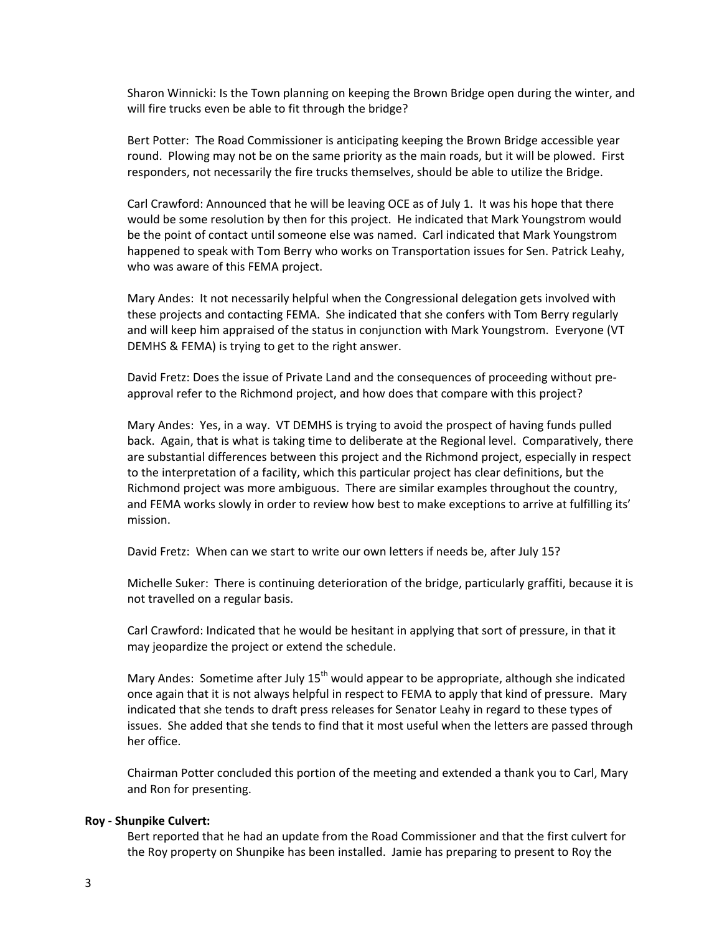Sharon Winnicki: Is the Town planning on keeping the Brown Bridge open during the winter, and will fire trucks even be able to fit through the bridge?

Bert Potter: The Road Commissioner is anticipating keeping the Brown Bridge accessible year round. Plowing may not be on the same priority as the main roads, but it will be plowed. First responders, not necessarily the fire trucks themselves, should be able to utilize the Bridge.

Carl Crawford: Announced that he will be leaving OCE as of July 1. It was his hope that there would be some resolution by then for this project. He indicated that Mark Youngstrom would be the point of contact until someone else was named. Carl indicated that Mark Youngstrom happened to speak with Tom Berry who works on Transportation issues for Sen. Patrick Leahy, who was aware of this FEMA project.

Mary Andes: It not necessarily helpful when the Congressional delegation gets involved with these projects and contacting FEMA. She indicated that she confers with Tom Berry regularly and will keep him appraised of the status in conjunction with Mark Youngstrom. Everyone (VT DEMHS & FEMA) is trying to get to the right answer.

David Fretz: Does the issue of Private Land and the consequences of proceeding without pre‐ approval refer to the Richmond project, and how does that compare with this project?

Mary Andes: Yes, in a way. VT DEMHS is trying to avoid the prospect of having funds pulled back. Again, that is what is taking time to deliberate at the Regional level. Comparatively, there are substantial differences between this project and the Richmond project, especially in respect to the interpretation of a facility, which this particular project has clear definitions, but the Richmond project was more ambiguous. There are similar examples throughout the country, and FEMA works slowly in order to review how best to make exceptions to arrive at fulfilling its' mission.

David Fretz: When can we start to write our own letters if needs be, after July 15?

Michelle Suker: There is continuing deterioration of the bridge, particularly graffiti, because it is not travelled on a regular basis.

Carl Crawford: Indicated that he would be hesitant in applying that sort of pressure, in that it may jeopardize the project or extend the schedule.

Mary Andes: Sometime after July  $15<sup>th</sup>$  would appear to be appropriate, although she indicated once again that it is not always helpful in respect to FEMA to apply that kind of pressure. Mary indicated that she tends to draft press releases for Senator Leahy in regard to these types of issues. She added that she tends to find that it most useful when the letters are passed through her office.

Chairman Potter concluded this portion of the meeting and extended a thank you to Carl, Mary and Ron for presenting.

#### **Roy ‐ Shunpike Culvert:**

Bert reported that he had an update from the Road Commissioner and that the first culvert for the Roy property on Shunpike has been installed. Jamie has preparing to present to Roy the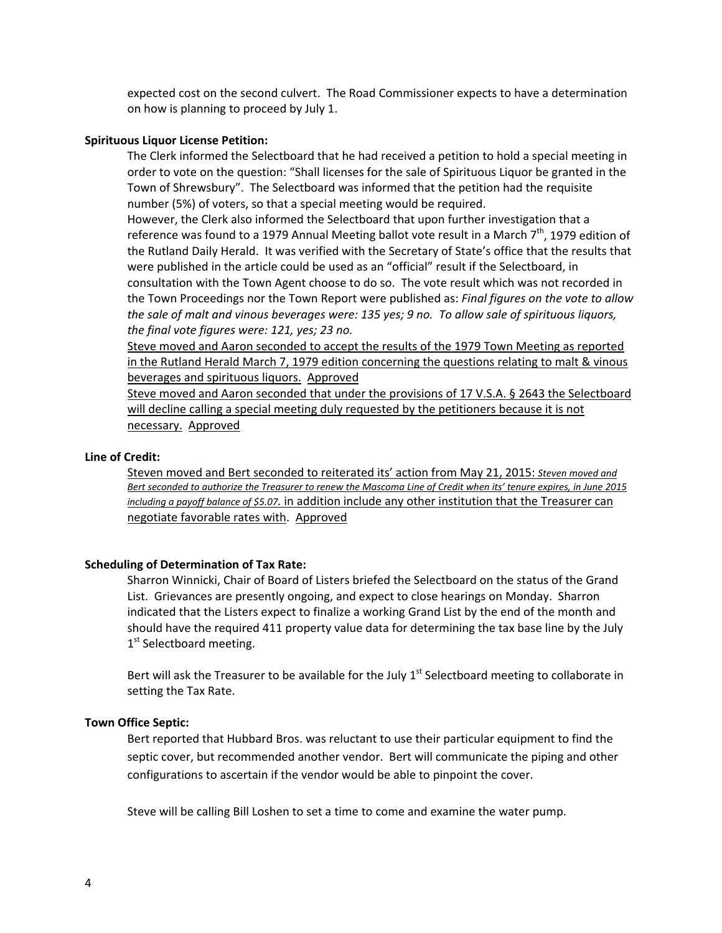expected cost on the second culvert. The Road Commissioner expects to have a determination on how is planning to proceed by July 1.

#### **Spirituous Liquor License Petition:**

The Clerk informed the Selectboard that he had received a petition to hold a special meeting in order to vote on the question: "Shall licenses for the sale of Spirituous Liquor be granted in the Town of Shrewsbury". The Selectboard was informed that the petition had the requisite number (5%) of voters, so that a special meeting would be required.

However, the Clerk also informed the Selectboard that upon further investigation that a reference was found to a 1979 Annual Meeting ballot vote result in a March 7<sup>th</sup>, 1979 edition of the Rutland Daily Herald. It was verified with the Secretary of State's office that the results that were published in the article could be used as an "official" result if the Selectboard, in consultation with the Town Agent choose to do so. The vote result which was not recorded in the Town Proceedings nor the Town Report were published as: *Final figures on the vote to allow* the sale of malt and vinous beverages were: 135 yes; 9 no. To allow sale of spirituous liquors, *the final vote figures were: 121, yes; 23 no.*

Steve moved and Aaron seconded to accept the results of the 1979 Town Meeting as reported in the Rutland Herald March 7, 1979 edition concerning the questions relating to malt & vinous beverages and spirituous liquors. Approved

Steve moved and Aaron seconded that under the provisions of 17 V.S.A. § 2643 the Selectboard will decline calling a special meeting duly requested by the petitioners because it is not necessary. Approved

### **Line of Credit:**

Steven moved and Bert seconded to reiterated its' action from May 21, 2015: *Steven moved and* Bert seconded to authorize the Treasurer to renew the Mascoma Line of Credit when its' tenure expires, in June 2015 *including a payoff balance of \$5.07.* in addition include any other institution that the Treasurer can negotiate favorable rates with. Approved

### **Scheduling of Determination of Tax Rate:**

Sharron Winnicki, Chair of Board of Listers briefed the Selectboard on the status of the Grand List. Grievances are presently ongoing, and expect to close hearings on Monday. Sharron indicated that the Listers expect to finalize a working Grand List by the end of the month and should have the required 411 property value data for determining the tax base line by the July 1<sup>st</sup> Selectboard meeting.

Bert will ask the Treasurer to be available for the July  $1<sup>st</sup>$  Selectboard meeting to collaborate in setting the Tax Rate.

#### **Town Office Septic:**

Bert reported that Hubbard Bros. was reluctant to use their particular equipment to find the septic cover, but recommended another vendor. Bert will communicate the piping and other configurations to ascertain if the vendor would be able to pinpoint the cover.

Steve will be calling Bill Loshen to set a time to come and examine the water pump.